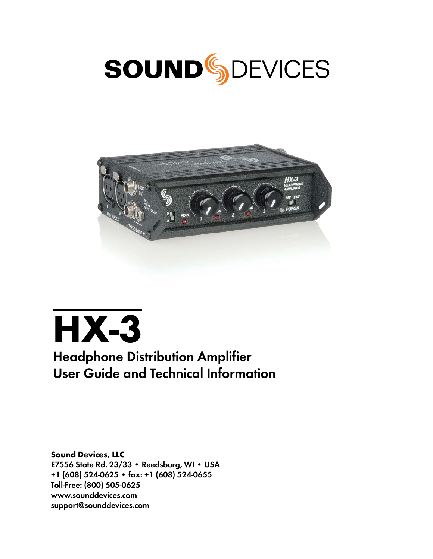





# Headphone Distribution Amplifier User Guide and Technical Information

Sound Devices, LLC E7556 State Rd. 23/33 • Reedsburg, WI • USA +1 (608) 524-0625 • fax: +1 (608) 524-0655 Toll-Free: (800) 505-0625 www.sounddevices.com support@sounddevices.com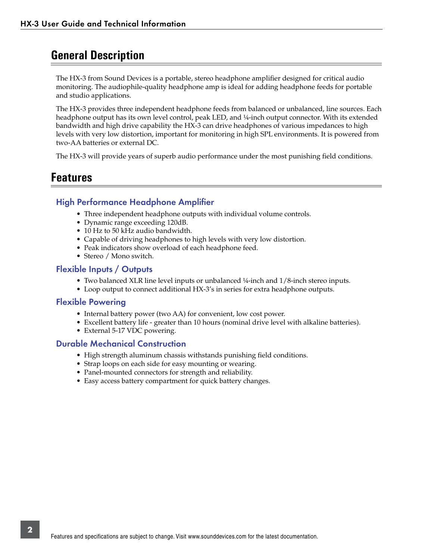### **General Description**

The HX-3 from Sound Devices is a portable, stereo headphone amplifier designed for critical audio monitoring. The audiophile-quality headphone amp is ideal for adding headphone feeds for portable and studio applications.

The HX-3 provides three independent headphone feeds from balanced or unbalanced, line sources. Each headphone output has its own level control, peak LED, and ¼-inch output connector. With its extended bandwidth and high drive capability the HX-3 can drive headphones of various impedances to high levels with very low distortion, important for monitoring in high SPL environments. It is powered from two-AA batteries or external DC.

The HX-3 will provide years of superb audio performance under the most punishing field conditions.

### **Features**

### High Performance Headphone Amplifier

- Three independent headphone outputs with individual volume controls.
- Dynamic range exceeding 120dB.
- 10 Hz to 50 kHz audio bandwidth.
- Capable of driving headphones to high levels with very low distortion.
- Peak indicators show overload of each headphone feed.
- Stereo / Mono switch.

#### Flexible Inputs / Outputs

- Two balanced XLR line level inputs or unbalanced ¼-inch and 1/8-inch stereo inputs.
- Loop output to connect additional HX-3's in series for extra headphone outputs.

#### Flexible Powering

- Internal battery power (two AA) for convenient, low cost power.
- Excellent battery life greater than 10 hours (nominal drive level with alkaline batteries).
- External 5-17 VDC powering.

### Durable Mechanical Construction

- High strength aluminum chassis withstands punishing field conditions.
- Strap loops on each side for easy mounting or wearing.
- Panel-mounted connectors for strength and reliability.
- Easy access battery compartment for quick battery changes.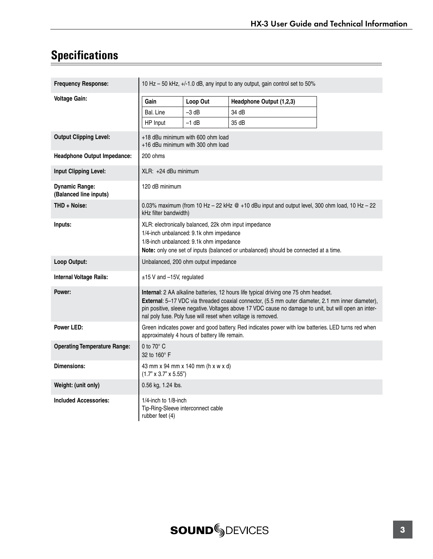# **Specifications**

| <b>Frequency Response:</b>                      | 10 Hz - 50 kHz, +/-1.0 dB, any input to any output, gain control set to 50%                                                                                                                                                                                                                                                                                         |          |                          |  |
|-------------------------------------------------|---------------------------------------------------------------------------------------------------------------------------------------------------------------------------------------------------------------------------------------------------------------------------------------------------------------------------------------------------------------------|----------|--------------------------|--|
| <b>Voltage Gain:</b>                            | Gain                                                                                                                                                                                                                                                                                                                                                                | Loop Out | Headphone Output (1,2,3) |  |
|                                                 | Bal. Line                                                                                                                                                                                                                                                                                                                                                           | $-3$ dB  | 34 dB                    |  |
|                                                 | HP Input                                                                                                                                                                                                                                                                                                                                                            | $-1$ dB  | 35 dB                    |  |
| <b>Output Clipping Level:</b>                   | +18 dBu minimum with 600 ohm load<br>+16 dBu minimum with 300 ohm load                                                                                                                                                                                                                                                                                              |          |                          |  |
| <b>Headphone Output Impedance:</b>              | 200 ohms                                                                                                                                                                                                                                                                                                                                                            |          |                          |  |
| Input Clipping Level:                           | XLR: +24 dBu minimum                                                                                                                                                                                                                                                                                                                                                |          |                          |  |
| <b>Dynamic Range:</b><br>(Balanced line inputs) | 120 dB minimum                                                                                                                                                                                                                                                                                                                                                      |          |                          |  |
| THD + Noise:                                    | 0.03% maximum (from 10 Hz - 22 kHz @ +10 dBu input and output level, 300 ohm load, 10 Hz - 22<br>kHz filter bandwidth)                                                                                                                                                                                                                                              |          |                          |  |
| Inputs:                                         | XLR: electronically balanced, 22k ohm input impedance<br>1/4-inch unbalanced: 9.1k ohm impedance<br>1/8-inch unbalanced: 9.1k ohm impedance<br>Note: only one set of inputs (balanced or unbalanced) should be connected at a time.                                                                                                                                 |          |                          |  |
| Loop Output:                                    | Unbalanced, 200 ohm output impedance                                                                                                                                                                                                                                                                                                                                |          |                          |  |
| Internal Voltage Rails:                         | ±15 V and -15V, regulated                                                                                                                                                                                                                                                                                                                                           |          |                          |  |
| Power:                                          | Internal: 2 AA alkaline batteries, 12 hours life typical driving one 75 ohm headset.<br>External: 5-17 VDC via threaded coaxial connector, (5.5 mm outer diameter, 2.1 mm inner diameter),<br>pin positive, sleeve negative. Voltages above 17 VDC cause no damage to unit, but will open an inter-<br>nal poly fuse. Poly fuse will reset when voltage is removed. |          |                          |  |
| Power LED:                                      | Green indicates power and good battery. Red indicates power with low batteries. LED turns red when<br>approximately 4 hours of battery life remain.                                                                                                                                                                                                                 |          |                          |  |
| <b>Operating Temperature Range:</b>             | 0 to $70^\circ$ C<br>32 to 160° F                                                                                                                                                                                                                                                                                                                                   |          |                          |  |
| <b>Dimensions:</b>                              | 43 mm x 94 mm x 140 mm (h x w x d)<br>$(1.7" \times 3.7" \times 5.55")$                                                                                                                                                                                                                                                                                             |          |                          |  |
| Weight: (unit only)                             | 0.56 kg, 1.24 lbs.                                                                                                                                                                                                                                                                                                                                                  |          |                          |  |
| <b>Included Accessories:</b>                    | $1/4$ -inch to $1/8$ -inch<br>Tip-Ring-Sleeve interconnect cable<br>rubber feet (4)                                                                                                                                                                                                                                                                                 |          |                          |  |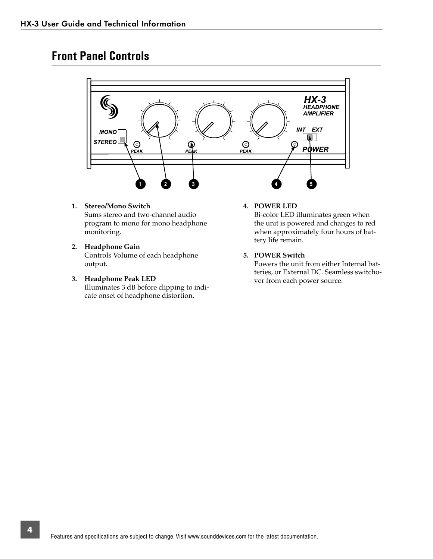# **Front Panel Controls**



- **1. Stereo/Mono Switch**  Sums stereo and two-channel audio program to mono for mono headphone monitoring.
- **2. Headphone Gain**  Controls Volume of each headphone output.
- **3. Headphone Peak LED**  Illuminates 3 dB before clipping to indicate onset of headphone distortion.

#### **4. POWER LED**

Bi-color LED illuminates green when the unit is powered and changes to red when approximately four hours of battery life remain.

#### **5. POWER Switch**

Powers the unit from either Internal batteries, or External DC. Seamless switchover from each power source.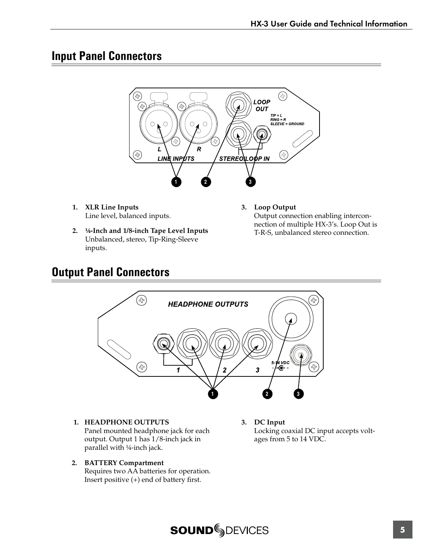### **Input Panel Connectors**



- **1. XLR Line Inputs** Line level, balanced inputs.
- **2. ¼-Inch and 1/8-inch Tape Level Inputs**  Unbalanced, stereo, Tip-Ring-Sleeve inputs.
- **3. Loop Output** Output connection enabling interconnection of multiple HX-3's. Loop Out is T-R-S, unbalanced stereo connection.

# **Output Panel Connectors**



**1. HEADPHONE OUTPUTS**  Panel mounted headphone jack for each output. Output 1 has 1/8-inch jack in parallel with ¼-inch jack.

#### **2. BATTERY Compartment** Requires two AA batteries for operation. Insert positive (+) end of battery first.

**3. DC Input**  Locking coaxial DC input accepts voltages from 5 to 14 VDC.

# **SOUNDSDEVICES**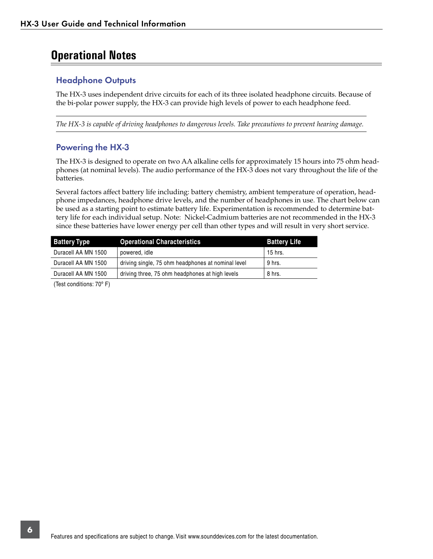# **Operational Notes**

### Headphone Outputs

The HX-3 uses independent drive circuits for each of its three isolated headphone circuits. Because of the bi-polar power supply, the HX-3 can provide high levels of power to each headphone feed.

*The HX-3 is capable of driving headphones to dangerous levels. Take precautions to prevent hearing damage.* 

### Powering the HX-3

The HX-3 is designed to operate on two AA alkaline cells for approximately 15 hours into 75 ohm headphones (at nominal levels). The audio performance of the HX-3 does not vary throughout the life of the batteries.

Several factors affect battery life including: battery chemistry, ambient temperature of operation, headphone impedances, headphone drive levels, and the number of headphones in use. The chart below can be used as a starting point to estimate battery life. Experimentation is recommended to determine battery life for each individual setup. Note: Nickel-Cadmium batteries are not recommended in the HX-3 since these batteries have lower energy per cell than other types and will result in very short service.

| <b>Battery Type</b> | <b>Operational Characteristics</b>                 | <b>Battery Life</b> |
|---------------------|----------------------------------------------------|---------------------|
| Duracell AA MN 1500 | powered, idle                                      | 15 hrs.             |
| Duracell AA MN 1500 | driving single, 75 ohm headphones at nominal level | 9 hrs.              |
| Duracell AA MN 1500 | driving three, 75 ohm headphones at high levels    | 8 hrs.              |

(Test conditions: 70º F)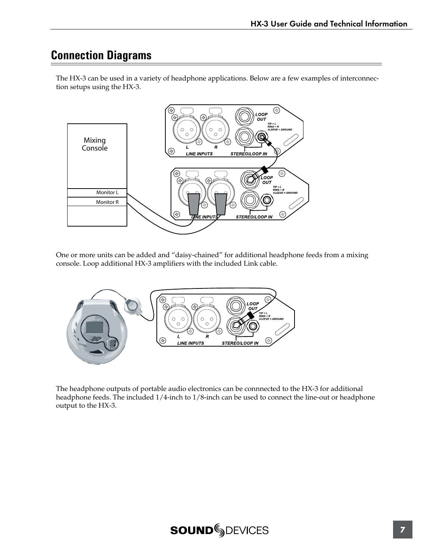# **Connection Diagrams**



The HX-3 can be used in a variety of headphone applications. Below are a few examples of interconnection setups using the HX-3. 3 can be

One or more units can be added and "daisy-chained" for additional headphone feeds from a mixing console. Loop additional HX-3 amplifiers with the included Link cable.



The headphone outputs of portable audio electronics can be connnected to the HX-3 for additional headphone feeds. The included 1/4-inch to 1/8-inch can be used to connect the line-out or headphone output to the HX-3.

# **SOUNDSDEVICES**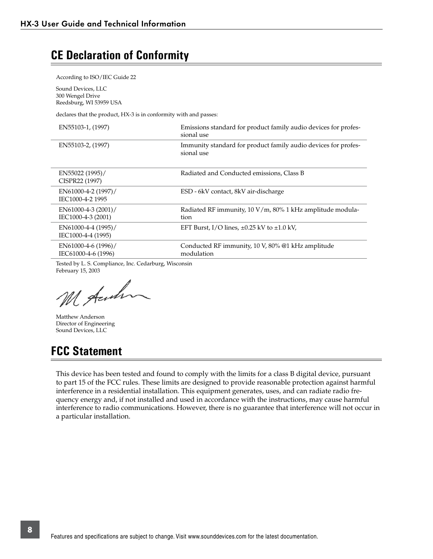# **CE Declaration of Conformity**

According to ISO/IEC Guide 22

Sound Devices, LLC 300 Wengel Drive Reedsburg, WI 53959 USA

declares that the product, HX-3 is in conformity with and passes:

| EN55103-1, (1997)                          | Emissions standard for product family audio devices for profes-<br>sional use |
|--------------------------------------------|-------------------------------------------------------------------------------|
| EN55103-2, (1997)                          | Immunity standard for product family audio devices for profes-<br>sional use  |
| EN55022 (1995)/<br>CISPR22 (1997)          | Radiated and Conducted emissions, Class B                                     |
| EN61000-4-2 (1997)/<br>IEC1000-4-2 1995    | ESD - 6kV contact, 8kV air-discharge                                          |
| EN61000-4-3 (2001)/<br>IEC1000-4-3 (2001)  | Radiated RF immunity, 10 V/m, 80% 1 kHz amplitude modula-<br>tion             |
| EN61000-4-4 (1995)/<br>IEC1000-4-4 (1995)  | EFT Burst, I/O lines, $\pm 0.25$ kV to $\pm 1.0$ kV,                          |
| EN61000-4-6 (1996)/<br>IEC61000-4-6 (1996) | Conducted RF immunity, 10 V, 80% @1 kHz amplitude<br>modulation               |
| - - - - - - - - - - -                      |                                                                               |

Tested by L. S. Compliance, Inc. Cedarburg, Wisconsin February 15, 2003

M Auch

Matthew Anderson Director of Engineering Sound Devices, LLC

### **FCC Statement**

This device has been tested and found to comply with the limits for a class B digital device, pursuant to part 15 of the FCC rules. These limits are designed to provide reasonable protection against harmful interference in a residential installation. This equipment generates, uses, and can radiate radio frequency energy and, if not installed and used in accordance with the instructions, may cause harmful interference to radio communications. However, there is no guarantee that interference will not occur in a particular installation.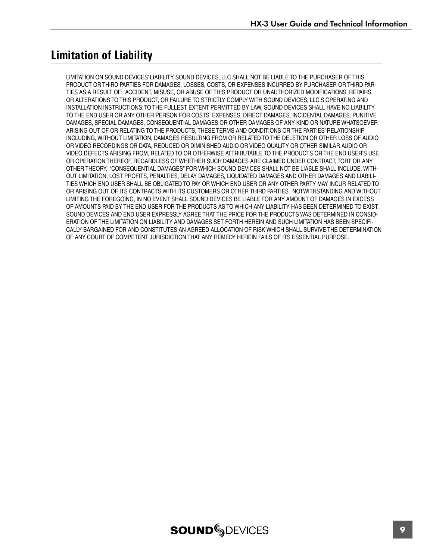# **Limitation of Liability**

LIMITATION ON SOUND DEVICES' LIABILITY. SOUND DEVICES, LLC SHALL NOT BE LIABLE TO THE PURCHASER OF THIS PRODUCT OR THIRD PARTIES FOR DAMAGES, LOSSES, COSTS, OR EXPENSES INCURRED BY PURCHASER OR THIRD PAR-TIES AS A RESULT OF: ACCIDENT, MISUSE, OR ABUSE OF THIS PRODUCT OR UNAUTHORIZED MODIFICATIONS, REPAIRS, OR ALTERATIONS TO THIS PRODUCT, OR FAILURE TO STRICTLY COMPLY WITH SOUND DEVICES, LLC'S OPERATING AND INSTALLATION INSTRUCTIONS. TO THE FULLEST EXTENT PERMITTED BY LAW, SOUND DEVICES SHALL HAVE NO LIABILITY TO THE END USER OR ANY OTHER PERSON FOR COSTS, EXPENSES, DIRECT DAMAGES, INCIDENTAL DAMAGES, PUNITIVE DAMAGES, SPECIAL DAMAGES, CONSEQUENTIAL DAMAGES OR OTHER DAMAGES OF ANY KIND OR NATURE WHATSOEVER ARISING OUT OF OR RELATING TO THE PRODUCTS, THESE TERMS AND CONDITIONS OR THE PARTIES' RELATIONSHIP, INCLUDING, WITHOUT LIMITATION, DAMAGES RESULTING FROM OR RELATED TO THE DELETION OR OTHER LOSS OF AUDIO OR VIDEO RECORDINGS OR DATA, REDUCED OR DIMINISHED AUDIO OR VIDEO QUALITY OR OTHER SIMILAR AUDIO OR VIDEO DEFECTS ARISING FROM, RELATED TO OR OTHERWISE ATTRIBUTABLE TO THE PRODUCTS OR THE END USER'S USE OR OPERATION THEREOF, REGARDLESS OF WHETHER SUCH DAMAGES ARE CLAIMED UNDER CONTRACT, TORT OR ANY OTHER THEORY. "CONSEQUENTIAL DAMAGES" FOR WHICH SOUND DEVICES SHALL NOT BE LIABLE SHALL INCLUDE, WITH-OUT LIMITATION, LOST PROFITS, PENALTIES, DELAY DAMAGES, LIQUIDATED DAMAGES AND OTHER DAMAGES AND LIABILI-TIES WHICH END USER SHALL BE OBLIGATED TO PAY OR WHICH END USER OR ANY OTHER PARTY MAY INCUR RELATED TO OR ARISING OUT OF ITS CONTRACTS WITH ITS CUSTOMERS OR OTHER THIRD PARTIES. NOTWITHSTANDING AND WITHOUT LIMITING THE FOREGOING, IN NO EVENT SHALL SOUND DEVICES BE LIABLE FOR ANY AMOUNT OF DAMAGES IN EXCESS OF AMOUNTS PAID BY THE END USER FOR THE PRODUCTS AS TO WHICH ANY LIABILITY HAS BEEN DETERMINED TO EXIST. SOUND DEVICES AND END USER EXPRESSLY AGREE THAT THE PRICE FOR THE PRODUCTS WAS DETERMINED IN CONSID-ERATION OF THE LIMITATION ON LIABILITY AND DAMAGES SET FORTH HEREIN AND SUCH LIMITATION HAS BEEN SPECIFI-CALLY BARGAINED FOR AND CONSTITUTES AN AGREED ALLOCATION OF RISK WHICH SHALL SURVIVE THE DETERMINATION OF ANY COURT OF COMPETENT JURISDICTION THAT ANY REMEDY HEREIN FAILS OF ITS ESSENTIAL PURPOSE.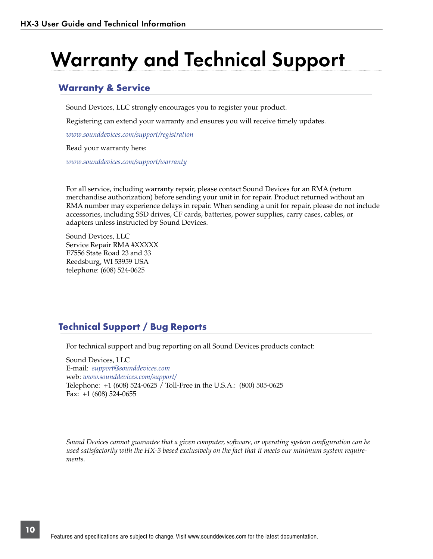# Warranty and Technical Support

### Warranty & Service

Sound Devices, LLC strongly encourages you to register your product.

Registering can extend your warranty and ensures you will receive timely updates.

*www.sounddevices.com/support/registration*

Read your warranty here:

*www.sounddevices.com/support/warranty*

For all service, including warranty repair, please contact Sound Devices for an RMA (return merchandise authorization) before sending your unit in for repair. Product returned without an RMA number may experience delays in repair. When sending a unit for repair, please do not include accessories, including SSD drives, CF cards, batteries, power supplies, carry cases, cables, or adapters unless instructed by Sound Devices.

Sound Devices, LLC Service Repair RMA #XXXXX E7556 State Road 23 and 33 Reedsburg, WI 53959 USA telephone: (608) 524-0625

### Technical Support / Bug Reports

For technical support and bug reporting on all Sound Devices products contact:

Sound Devices, LLC E-mail: *support@sounddevices.com* web: *www.sounddevices.com/support/* Telephone: +1 (608) 524-0625 / Toll-Free in the U.S.A.: (800) 505-0625 Fax: +1 (608) 524-0655

*Sound Devices cannot guarantee that a given computer, software, or operating system configuration can be used satisfactorily with the HX-3 based exclusively on the fact that it meets our minimum system requirements.*